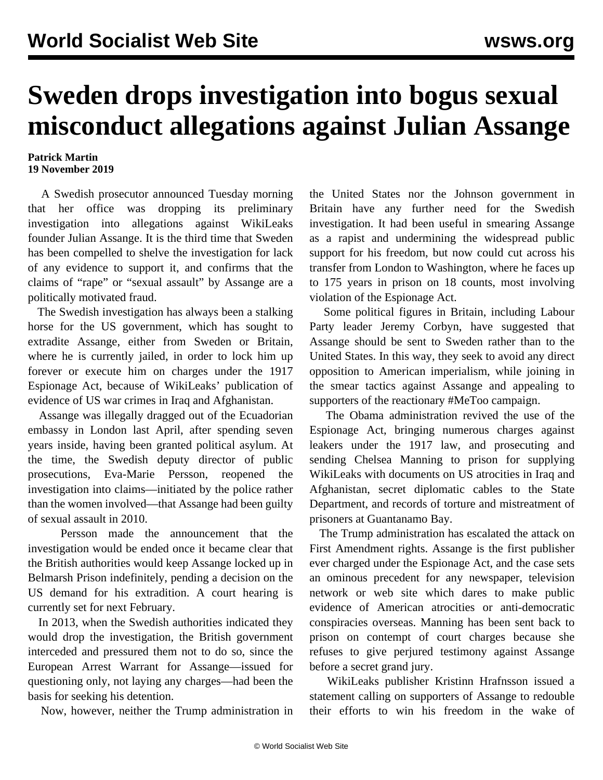## **Sweden drops investigation into bogus sexual misconduct allegations against Julian Assange**

## **Patrick Martin 19 November 2019**

 A Swedish prosecutor announced Tuesday morning that her office was dropping its preliminary investigation into allegations against WikiLeaks founder Julian Assange. It is the third time that Sweden has been compelled to shelve the investigation for lack of any evidence to support it, and confirms that the claims of "rape" or "sexual assault" by Assange are a politically motivated fraud.

 The Swedish investigation has always been a stalking horse for the US government, which has sought to extradite Assange, either from Sweden or Britain, where he is currently jailed, in order to lock him up forever or execute him on charges under the 1917 Espionage Act, because of WikiLeaks' publication of evidence of US war crimes in Iraq and Afghanistan.

 Assange was illegally dragged out of the Ecuadorian embassy in London last April, after spending seven years inside, having been granted political asylum. At the time, the Swedish deputy director of public prosecutions, Eva-Marie Persson, reopened the investigation into claims—initiated by the police rather than the women involved—that Assange had been guilty of sexual assault in 2010.

 Persson made the announcement that the investigation would be ended once it became clear that the British authorities would keep Assange locked up in Belmarsh Prison indefinitely, pending a decision on the US demand for his extradition. A court hearing is currently set for next February.

 In 2013, when the Swedish authorities indicated they would drop the investigation, the British government interceded and pressured them not to do so, since the European Arrest Warrant for Assange—issued for questioning only, not laying any charges—had been the basis for seeking his detention.

Now, however, neither the Trump administration in

the United States nor the Johnson government in Britain have any further need for the Swedish investigation. It had been useful in smearing Assange as a rapist and undermining the widespread public support for his freedom, but now could cut across his transfer from London to Washington, where he faces up to 175 years in prison on 18 counts, most involving violation of the Espionage Act.

 Some political figures in Britain, including Labour Party leader Jeremy Corbyn, have suggested that Assange should be sent to Sweden rather than to the United States. In this way, they seek to avoid any direct opposition to American imperialism, while joining in the smear tactics against Assange and appealing to supporters of the reactionary #MeToo campaign.

 The Obama administration revived the use of the Espionage Act, bringing numerous charges against leakers under the 1917 law, and prosecuting and sending Chelsea Manning to prison for supplying WikiLeaks with documents on US atrocities in Iraq and Afghanistan, secret diplomatic cables to the State Department, and records of torture and mistreatment of prisoners at Guantanamo Bay.

 The Trump administration has escalated the attack on First Amendment rights. Assange is the first publisher ever charged under the Espionage Act, and the case sets an ominous precedent for any newspaper, television network or web site which dares to make public evidence of American atrocities or anti-democratic conspiracies overseas. Manning has been sent back to prison on contempt of court charges because she refuses to give perjured testimony against Assange before a secret grand jury.

 WikiLeaks publisher Kristinn Hrafnsson issued a statement calling on supporters of Assange to redouble their efforts to win his freedom in the wake of